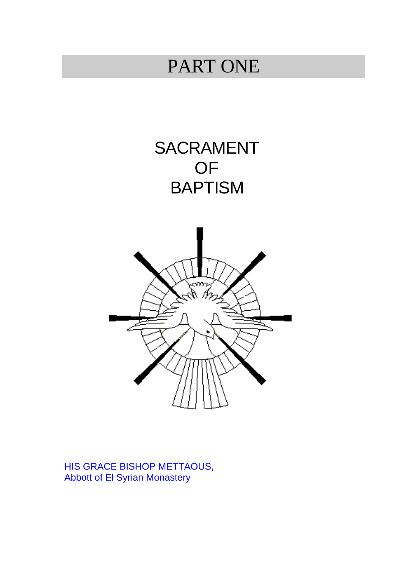# PART ONE

SACRAMENT OF **BAPTISM** 



HIS GRACE BISHOP METTAOUS, Abbott of El Syrian Monastery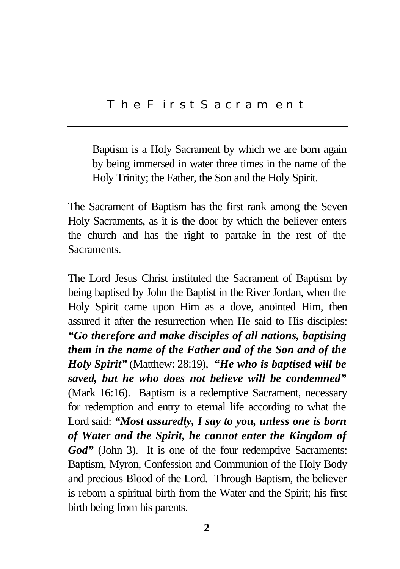Baptism is a Holy Sacrament by which we are born again by being immersed in water three times in the name of the Holy Trinity; the Father, the Son and the Holy Spirit.

The Sacrament of Baptism has the first rank among the Seven Holy Sacraments, as it is the door by which the believer enters the church and has the right to partake in the rest of the Sacraments.

The Lord Jesus Christ instituted the Sacrament of Baptism by being baptised by John the Baptist in the River Jordan, when the Holy Spirit came upon Him as a dove, anointed Him, then assured it after the resurrection when He said to His disciples: *"Go therefore and make disciples of all nations, baptising them in the name of the Father and of the Son and of the Holy Spirit"* (Matthew: 28:19), *"He who is baptised will be saved, but he who does not believe will be condemned"* (Mark 16:16). Baptism is a redemptive Sacrament, necessary for redemption and entry to eternal life according to what the Lord said: *"Most assuredly, I say to you, unless one is born of Water and the Spirit, he cannot enter the Kingdom of* God" (John 3). It is one of the four redemptive Sacraments: Baptism, Myron, Confession and Communion of the Holy Body and precious Blood of the Lord. Through Baptism, the believer is reborn a spiritual birth from the Water and the Spirit; his first birth being from his parents.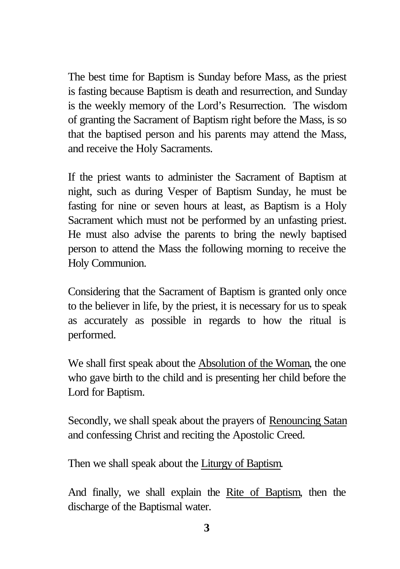The best time for Baptism is Sunday before Mass, as the priest is fasting because Baptism is death and resurrection, and Sunday is the weekly memory of the Lord's Resurrection. The wisdom of granting the Sacrament of Baptism right before the Mass, is so that the baptised person and his parents may attend the Mass, and receive the Holy Sacraments.

If the priest wants to administer the Sacrament of Baptism at night, such as during Vesper of Baptism Sunday, he must be fasting for nine or seven hours at least, as Baptism is a Holy Sacrament which must not be performed by an unfasting priest. He must also advise the parents to bring the newly baptised person to attend the Mass the following morning to receive the Holy Communion.

Considering that the Sacrament of Baptism is granted only once to the believer in life, by the priest, it is necessary for us to speak as accurately as possible in regards to how the ritual is performed.

We shall first speak about the Absolution of the Woman, the one who gave birth to the child and is presenting her child before the Lord for Baptism.

Secondly, we shall speak about the prayers of Renouncing Satan and confessing Christ and reciting the Apostolic Creed.

Then we shall speak about the Liturgy of Baptism.

And finally, we shall explain the Rite of Baptism, then the discharge of the Baptismal water.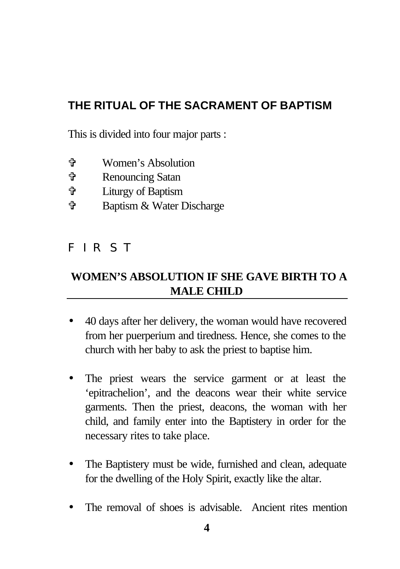# **THE RITUAL OF THE SACRAMENT OF BAPTISM**

This is divided into four major parts :

- V Women's Absolution
- V Renouncing Satan
- V Liturgy of Baptism
- V Baptism & Water Discharge

# **FIRST**

# **WOMEN'S ABSOLUTION IF SHE GAVE BIRTH TO A MALE CHILD**

- 40 days after her delivery, the woman would have recovered from her puerperium and tiredness. Hence, she comes to the church with her baby to ask the priest to baptise him.
- The priest wears the service garment or at least the 'epitrachelion', and the deacons wear their white service garments. Then the priest, deacons, the woman with her child, and family enter into the Baptistery in order for the necessary rites to take place.
- The Baptistery must be wide, furnished and clean, adequate for the dwelling of the Holy Spirit, exactly like the altar.
- The removal of shoes is advisable. Ancient rites mention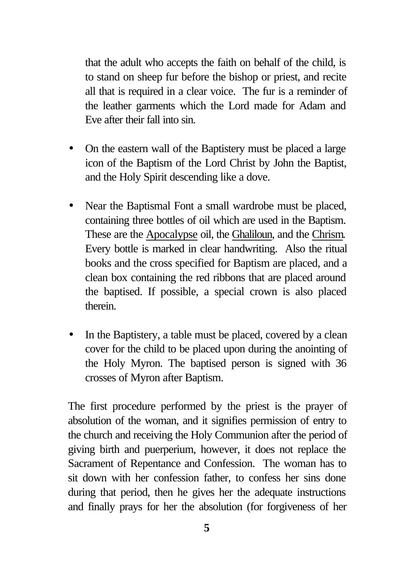that the adult who accepts the faith on behalf of the child, is to stand on sheep fur before the bishop or priest, and recite all that is required in a clear voice. The fur is a reminder of the leather garments which the Lord made for Adam and Eve after their fall into sin.

- On the eastern wall of the Baptistery must be placed a large icon of the Baptism of the Lord Christ by John the Baptist, and the Holy Spirit descending like a dove.
- Near the Baptismal Font a small wardrobe must be placed, containing three bottles of oil which are used in the Baptism. These are the Apocalypse oil, the Ghaliloun, and the Chrism. Every bottle is marked in clear handwriting. Also the ritual books and the cross specified for Baptism are placed, and a clean box containing the red ribbons that are placed around the baptised. If possible, a special crown is also placed therein.
- In the Baptistery, a table must be placed, covered by a clean cover for the child to be placed upon during the anointing of the Holy Myron. The baptised person is signed with 36 crosses of Myron after Baptism.

The first procedure performed by the priest is the prayer of absolution of the woman, and it signifies permission of entry to the church and receiving the Holy Communion after the period of giving birth and puerperium, however, it does not replace the Sacrament of Repentance and Confession. The woman has to sit down with her confession father, to confess her sins done during that period, then he gives her the adequate instructions and finally prays for her the absolution (for forgiveness of her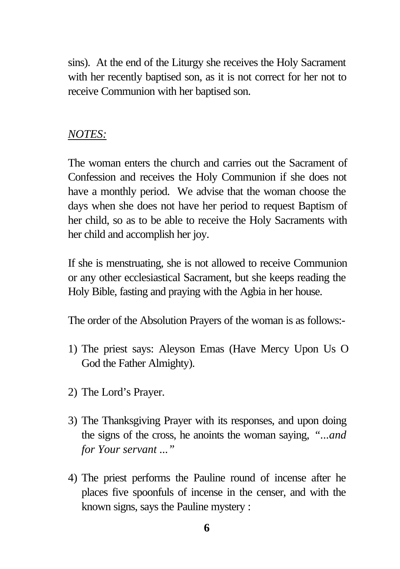sins). At the end of the Liturgy she receives the Holy Sacrament with her recently baptised son, as it is not correct for her not to receive Communion with her baptised son.

#### *NOTES:*

The woman enters the church and carries out the Sacrament of Confession and receives the Holy Communion if she does not have a monthly period. We advise that the woman choose the days when she does not have her period to request Baptism of her child, so as to be able to receive the Holy Sacraments with her child and accomplish her joy.

If she is menstruating, she is not allowed to receive Communion or any other ecclesiastical Sacrament, but she keeps reading the Holy Bible, fasting and praying with the Agbia in her house.

The order of the Absolution Prayers of the woman is as follows:-

- 1) The priest says: Aleyson Emas (Have Mercy Upon Us O God the Father Almighty).
- 2) The Lord's Prayer.
- 3) The Thanksgiving Prayer with its responses, and upon doing the signs of the cross, he anoints the woman saying, *"...and for Your servant ..."*
- 4) The priest performs the Pauline round of incense after he places five spoonfuls of incense in the censer, and with the known signs, says the Pauline mystery :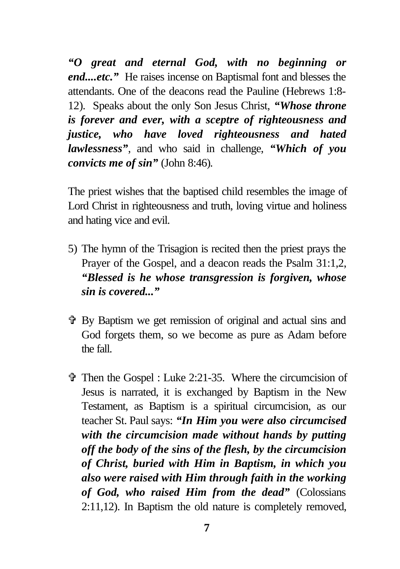*"O great and eternal God, with no beginning or end....etc."* He raises incense on Baptismal font and blesses the attendants. One of the deacons read the Pauline (Hebrews 1:8- 12)*.* Speaks about the only Son Jesus Christ, *"Whose throne is forever and ever, with a sceptre of righteousness and justice, who have loved righteousness and hated lawlessness"*, and who said in challenge, *"Which of you convicts me of sin"* (John 8:46)*.*

The priest wishes that the baptised child resembles the image of Lord Christ in righteousness and truth, loving virtue and holiness and hating vice and evil.

- 5) The hymn of the Trisagion is recited then the priest prays the Prayer of the Gospel, and a deacon reads the Psalm 31:1,2, *"Blessed is he whose transgression is forgiven, whose sin is covered..."*
- V By Baptism we get remission of original and actual sins and God forgets them, so we become as pure as Adam before the fall.
- $\hat{\mathbf{\Phi}}$  Then the Gospel : Luke 2:21-35. Where the circumcision of Jesus is narrated, it is exchanged by Baptism in the New Testament, as Baptism is a spiritual circumcision, as our teacher St. Paul says: *"In Him you were also circumcised with the circumcision made without hands by putting off the body of the sins of the flesh, by the circumcision of Christ, buried with Him in Baptism, in which you also were raised with Him through faith in the working of God, who raised Him from the dead"* (Colossians 2:11,12). In Baptism the old nature is completely removed,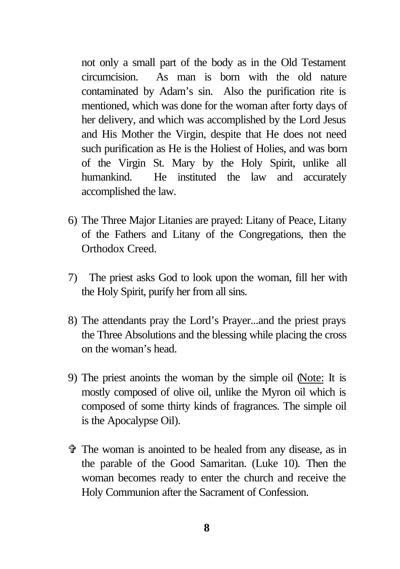not only a small part of the body as in the Old Testament circumcision. As man is born with the old nature contaminated by Adam's sin. Also the purification rite is mentioned, which was done for the woman after forty days of her delivery, and which was accomplished by the Lord Jesus and His Mother the Virgin, despite that He does not need such purification as He is the Holiest of Holies, and was born of the Virgin St. Mary by the Holy Spirit, unlike all humankind. He instituted the law and accurately accomplished the law.

- 6) The Three Major Litanies are prayed: Litany of Peace, Litany of the Fathers and Litany of the Congregations, then the Orthodox Creed.
- 7) The priest asks God to look upon the woman, fill her with the Holy Spirit, purify her from all sins.
- 8) The attendants pray the Lord's Prayer...and the priest prays the Three Absolutions and the blessing while placing the cross on the woman's head.
- 9) The priest anoints the woman by the simple oil (Note: It is mostly composed of olive oil, unlike the Myron oil which is composed of some thirty kinds of fragrances. The simple oil is the Apocalypse Oil).
- V The woman is anointed to be healed from any disease, as in the parable of the Good Samaritan. (Luke 10)*.* Then the woman becomes ready to enter the church and receive the Holy Communion after the Sacrament of Confession.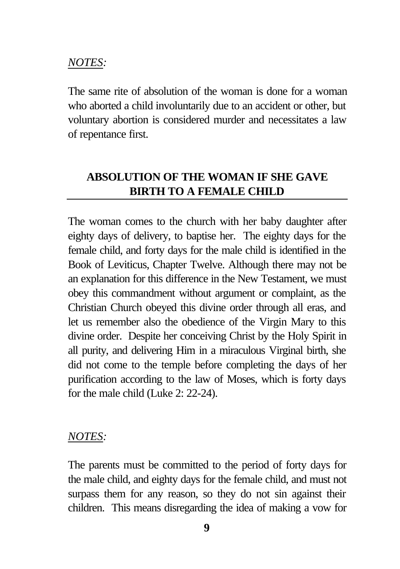#### *NOTES:*

The same rite of absolution of the woman is done for a woman who aborted a child involuntarily due to an accident or other, but voluntary abortion is considered murder and necessitates a law of repentance first.

## **ABSOLUTION OF THE WOMAN IF SHE GAVE BIRTH TO A FEMALE CHILD**

The woman comes to the church with her baby daughter after eighty days of delivery, to baptise her. The eighty days for the female child, and forty days for the male child is identified in the Book of Leviticus, Chapter Twelve. Although there may not be an explanation for this difference in the New Testament, we must obey this commandment without argument or complaint, as the Christian Church obeyed this divine order through all eras, and let us remember also the obedience of the Virgin Mary to this divine order. Despite her conceiving Christ by the Holy Spirit in all purity, and delivering Him in a miraculous Virginal birth, she did not come to the temple before completing the days of her purification according to the law of Moses, which is forty days for the male child (Luke 2: 22-24).

#### *NOTES:*

The parents must be committed to the period of forty days for the male child, and eighty days for the female child, and must not surpass them for any reason, so they do not sin against their children. This means disregarding the idea of making a vow for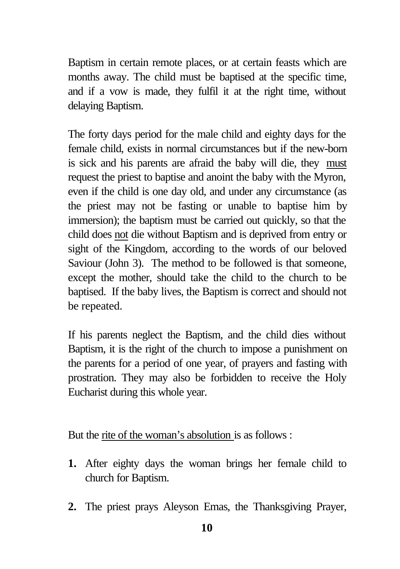Baptism in certain remote places, or at certain feasts which are months away. The child must be baptised at the specific time, and if a vow is made, they fulfil it at the right time, without delaying Baptism.

The forty days period for the male child and eighty days for the female child, exists in normal circumstances but if the new-born is sick and his parents are afraid the baby will die, they must request the priest to baptise and anoint the baby with the Myron, even if the child is one day old, and under any circumstance (as the priest may not be fasting or unable to baptise him by immersion); the baptism must be carried out quickly, so that the child does not die without Baptism and is deprived from entry or sight of the Kingdom, according to the words of our beloved Saviour (John 3). The method to be followed is that someone, except the mother, should take the child to the church to be baptised. If the baby lives, the Baptism is correct and should not be repeated.

If his parents neglect the Baptism, and the child dies without Baptism, it is the right of the church to impose a punishment on the parents for a period of one year, of prayers and fasting with prostration. They may also be forbidden to receive the Holy Eucharist during this whole year.

But the rite of the woman's absolution is as follows :

- **1.** After eighty days the woman brings her female child to church for Baptism.
- **2.** The priest prays Aleyson Emas, the Thanksgiving Prayer,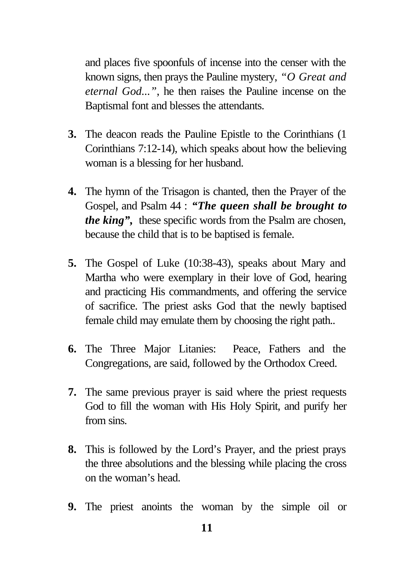and places five spoonfuls of incense into the censer with the known signs, then prays the Pauline mystery, *"O Great and eternal God..."*, he then raises the Pauline incense on the Baptismal font and blesses the attendants.

- **3.** The deacon reads the Pauline Epistle to the Corinthians (1 Corinthians 7:12-14), which speaks about how the believing woman is a blessing for her husband.
- **4.** The hymn of the Trisagon is chanted, then the Prayer of the Gospel, and Psalm 44 : *"The queen shall be brought to the king*", these specific words from the Psalm are chosen, because the child that is to be baptised is female.
- **5.** The Gospel of Luke (10:38-43), speaks about Mary and Martha who were exemplary in their love of God, hearing and practicing His commandments, and offering the service of sacrifice. The priest asks God that the newly baptised female child may emulate them by choosing the right path..
- **6.** The Three Major Litanies: Peace, Fathers and the Congregations, are said, followed by the Orthodox Creed.
- **7.** The same previous prayer is said where the priest requests God to fill the woman with His Holy Spirit, and purify her from sins.
- **8.** This is followed by the Lord's Prayer, and the priest prays the three absolutions and the blessing while placing the cross on the woman's head.
- **9.** The priest anoints the woman by the simple oil or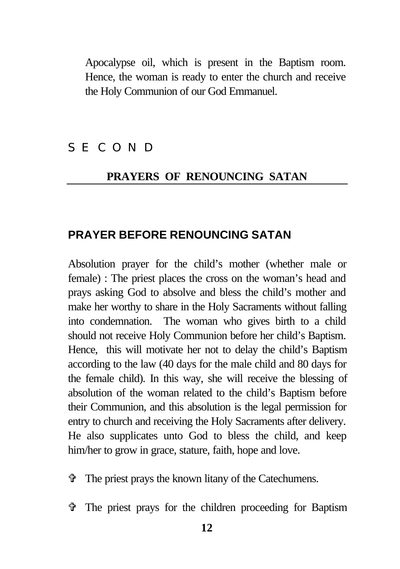Apocalypse oil, which is present in the Baptism room. Hence, the woman is ready to enter the church and receive the Holy Communion of our God Emmanuel.

### **SECOND**

#### **PRAYERS OF RENOUNCING SATAN**

#### **PRAYER BEFORE RENOUNCING SATAN**

Absolution prayer for the child's mother (whether male or female) : The priest places the cross on the woman's head and prays asking God to absolve and bless the child's mother and make her worthy to share in the Holy Sacraments without falling into condemnation. The woman who gives birth to a child should not receive Holy Communion before her child's Baptism. Hence, this will motivate her not to delay the child's Baptism according to the law (40 days for the male child and 80 days for the female child). In this way, she will receive the blessing of absolution of the woman related to the child's Baptism before their Communion, and this absolution is the legal permission for entry to church and receiving the Holy Sacraments after delivery. He also supplicates unto God to bless the child, and keep him/her to grow in grace, stature, faith, hope and love.

- $\ddot{\mathbf{r}}$  The priest prays the known litany of the Catechumens.
- V The priest prays for the children proceeding for Baptism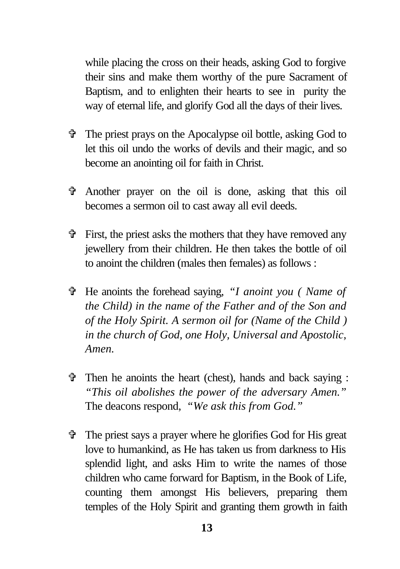while placing the cross on their heads, asking God to forgive their sins and make them worthy of the pure Sacrament of Baptism, and to enlighten their hearts to see in purity the way of eternal life, and glorify God all the days of their lives.

- V The priest prays on the Apocalypse oil bottle, asking God to let this oil undo the works of devils and their magic, and so become an anointing oil for faith in Christ.
- V Another prayer on the oil is done, asking that this oil becomes a sermon oil to cast away all evil deeds.
- $\hat{\mathbf{v}}$  First, the priest asks the mothers that they have removed any jewellery from their children. He then takes the bottle of oil to anoint the children (males then females) as follows :
- V He anoints the forehead saying, *"I anoint you ( Name of the Child) in the name of the Father and of the Son and of the Holy Spirit. A sermon oil for (Name of the Child ) in the church of God, one Holy, Universal and Apostolic, Amen.*
- $\hat{\tau}$  Then he anoints the heart (chest), hands and back saying : *"This oil abolishes the power of the adversary Amen."* The deacons respond, *"We ask this from God."*
- $\hat{\mathbf{v}}$  The priest says a prayer where he glorifies God for His great love to humankind, as He has taken us from darkness to His splendid light, and asks Him to write the names of those children who came forward for Baptism, in the Book of Life, counting them amongst His believers, preparing them temples of the Holy Spirit and granting them growth in faith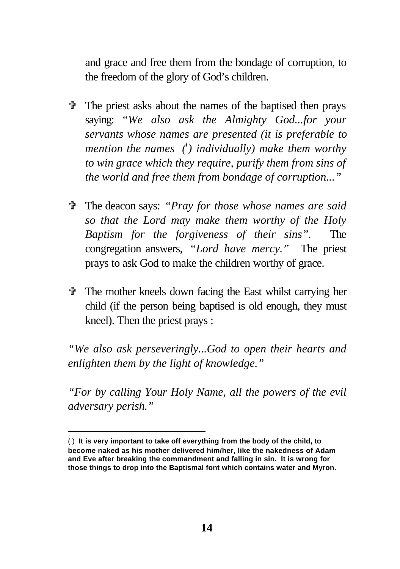and grace and free them from the bondage of corruption, to the freedom of the glory of God's children.

- V The priest asks about the names of the baptised then prays saying: *"We also ask the Almighty God...for your servants whose names are presented (it is preferable to mention the names (<sup>1</sup> ) individually) make them worthy to win grace which they require, purify them from sins of the world and free them from bondage of corruption..."*
- V The deacon says: *"Pray for those whose names are said so that the Lord may make them worthy of the Holy Baptism for the forgiveness of their sins".* The congregation answers, *"Lord have mercy."* The priest prays to ask God to make the children worthy of grace.
- $\hat{\mathbf{\Phi}}$  The mother kneels down facing the East whilst carrying her child (if the person being baptised is old enough, they must kneel). Then the priest prays :

*"We also ask perseveringly...God to open their hearts and enlighten them by the light of knowledge."*

*"For by calling Your Holy Name, all the powers of the evil adversary perish."*

<sup>(</sup> 1 ) **It is very important to take off everything from the body of the child, to become naked as his mother delivered him/her, like the nakedness of Adam and Eve after breaking the commandment and falling in sin. It is wrong for those things to drop into the Baptismal font which contains water and Myron.**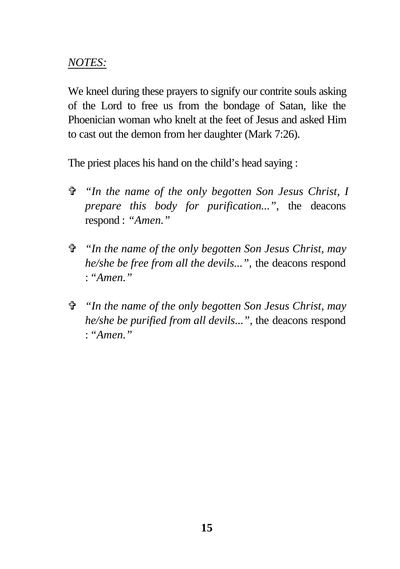### *NOTES:*

We kneel during these prayers to signify our contrite souls asking of the Lord to free us from the bondage of Satan, like the Phoenician woman who knelt at the feet of Jesus and asked Him to cast out the demon from her daughter (Mark 7:26).

The priest places his hand on the child's head saying :

- V *"In the name of the only begotten Son Jesus Christ, I prepare this body for purification..."*, the deacons respond : *"Amen."*
- V *"In the name of the only begotten Son Jesus Christ, may he/she be free from all the devils..."*, the deacons respond : *"Amen."*
- V *"In the name of the only begotten Son Jesus Christ, may he/she be purified from all devils...",* the deacons respond : *"Amen."*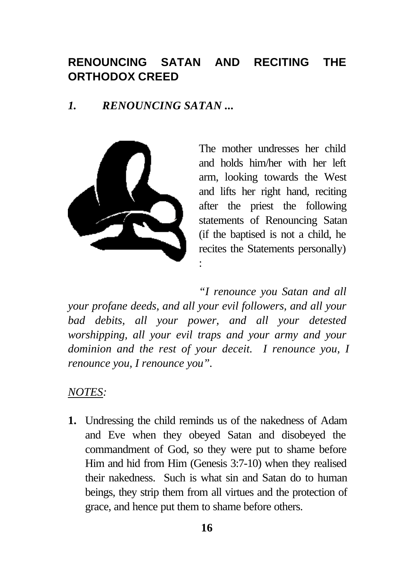# **RENOUNCING SATAN AND RECITING THE ORTHODOX CREED**

### *1. RENOUNCING SATAN ...*



The mother undresses her child and holds him/her with her left arm, looking towards the West and lifts her right hand, reciting after the priest the following statements of Renouncing Satan (if the baptised is not a child, he recites the Statements personally) :

*"I renounce you Satan and all your profane deeds, and all your evil followers, and all your bad debits, all your power, and all your detested worshipping, all your evil traps and your army and your dominion and the rest of your deceit. I renounce you, I renounce you, I renounce you".*

#### *NOTES:*

**1.** Undressing the child reminds us of the nakedness of Adam and Eve when they obeyed Satan and disobeyed the commandment of God, so they were put to shame before Him and hid from Him (Genesis 3:7-10) when they realised their nakedness. Such is what sin and Satan do to human beings, they strip them from all virtues and the protection of grace, and hence put them to shame before others.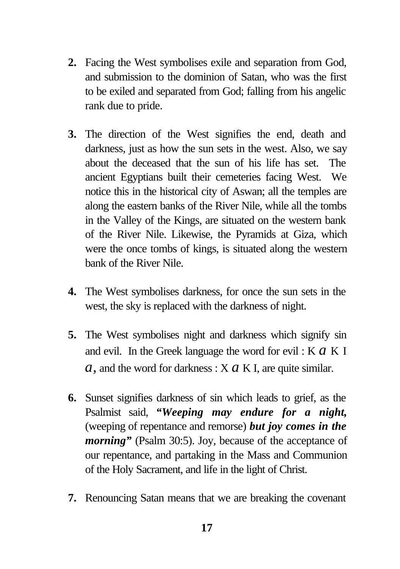- **2.** Facing the West symbolises exile and separation from God, and submission to the dominion of Satan, who was the first to be exiled and separated from God; falling from his angelic rank due to pride.
- **3.** The direction of the West signifies the end, death and darkness, just as how the sun sets in the west. Also, we say about the deceased that the sun of his life has set. The ancient Egyptians built their cemeteries facing West. We notice this in the historical city of Aswan; all the temples are along the eastern banks of the River Nile, while all the tombs in the Valley of the Kings, are situated on the western bank of the River Nile. Likewise, the Pyramids at Giza, which were the once tombs of kings, is situated along the western bank of the River Nile.
- **4.** The West symbolises darkness, for once the sun sets in the west, the sky is replaced with the darkness of night.
- **5.** The West symbolises night and darkness which signify sin and evil. In the Greek language the word for evil : K *a* K I *a,* and the word for darkness : X *a* K I, are quite similar.
- **6.** Sunset signifies darkness of sin which leads to grief, as the Psalmist said, *"Weeping may endure for a night,* (weeping of repentance and remorse) *but joy comes in the morning*" (Psalm 30:5). Joy, because of the acceptance of our repentance, and partaking in the Mass and Communion of the Holy Sacrament, and life in the light of Christ.
- **7.** Renouncing Satan means that we are breaking the covenant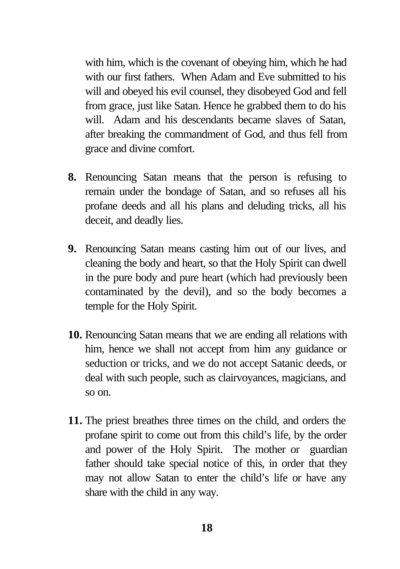with him, which is the covenant of obeying him, which he had with our first fathers. When Adam and Eve submitted to his will and obeyed his evil counsel, they disobeyed God and fell from grace, just like Satan. Hence he grabbed them to do his will. Adam and his descendants became slaves of Satan, after breaking the commandment of God, and thus fell from grace and divine comfort.

- **8.** Renouncing Satan means that the person is refusing to remain under the bondage of Satan, and so refuses all his profane deeds and all his plans and deluding tricks, all his deceit, and deadly lies.
- **9.** Renouncing Satan means casting him out of our lives, and cleaning the body and heart, so that the Holy Spirit can dwell in the pure body and pure heart (which had previously been contaminated by the devil), and so the body becomes a temple for the Holy Spirit.
- **10.** Renouncing Satan means that we are ending all relations with him, hence we shall not accept from him any guidance or seduction or tricks, and we do not accept Satanic deeds, or deal with such people, such as clairvoyances, magicians, and so on.
- **11.** The priest breathes three times on the child, and orders the profane spirit to come out from this child's life, by the order and power of the Holy Spirit. The mother or guardian father should take special notice of this, in order that they may not allow Satan to enter the child's life or have any share with the child in any way.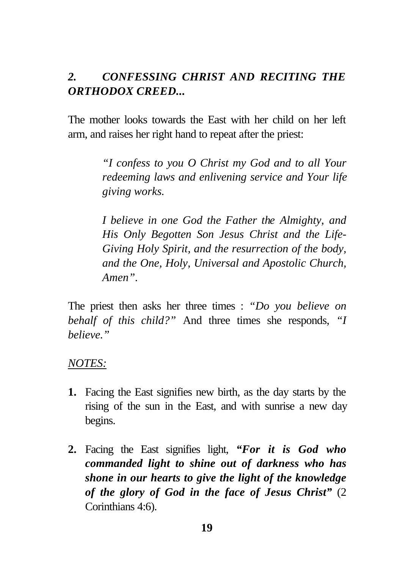### *2. CONFESSING CHRIST AND RECITING THE ORTHODOX CREED...*

The mother looks towards the East with her child on her left arm, and raises her right hand to repeat after the priest:

> *"I confess to you O Christ my God and to all Your redeeming laws and enlivening service and Your life giving works.*

> *I believe in one God the Father the Almighty, and His Only Begotten Son Jesus Christ and the Life-Giving Holy Spirit, and the resurrection of the body, and the One, Holy, Universal and Apostolic Church, Amen".*

The priest then asks her three times : *"Do you believe on behalf of this child?"* And three times she responds, *"I believe."*

#### *NOTES:*

- **1.** Facing the East signifies new birth, as the day starts by the rising of the sun in the East, and with sunrise a new day begins.
- **2.** Facing the East signifies light, *"For it is God who commanded light to shine out of darkness who has shone in our hearts to give the light of the knowledge of the glory of God in the face of Jesus Christ"* (2 Corinthians 4:6).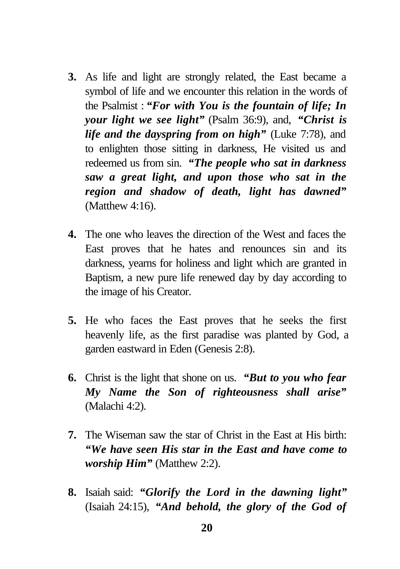- **3.** As life and light are strongly related, the East became a symbol of life and we encounter this relation in the words of the Psalmist : *"For with You is the fountain of life; In your light we see light"* (Psalm 36:9), and, *"Christ is life and the dayspring from on high"* (Luke 7:78), and to enlighten those sitting in darkness, He visited us and redeemed us from sin. *"The people who sat in darkness saw a great light, and upon those who sat in the region and shadow of death, light has dawned"* (Matthew 4:16).
- **4.** The one who leaves the direction of the West and faces the East proves that he hates and renounces sin and its darkness, yearns for holiness and light which are granted in Baptism, a new pure life renewed day by day according to the image of his Creator.
- **5.** He who faces the East proves that he seeks the first heavenly life, as the first paradise was planted by God, a garden eastward in Eden (Genesis 2:8).
- **6.** Christ is the light that shone on us. *"But to you who fear My Name the Son of righteousness shall arise"* (Malachi 4:2).
- **7.** The Wiseman saw the star of Christ in the East at His birth: *"We have seen His star in the East and have come to worship Him"* (Matthew 2:2).
- **8.** Isaiah said: *"Glorify the Lord in the dawning light"* (Isaiah 24:15), *"And behold, the glory of the God of*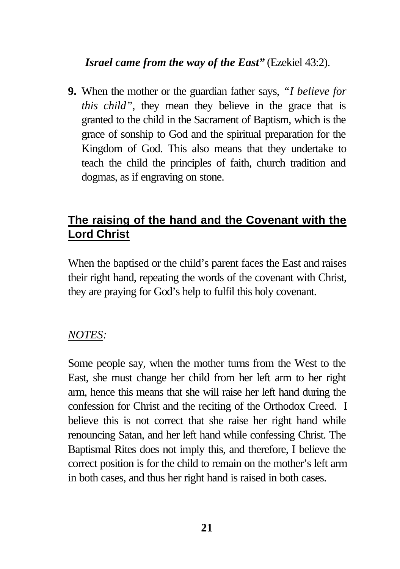### *Israel came from the way of the East"* (Ezekiel 43:2).

**9.** When the mother or the guardian father says, *"I believe for this child"*, they mean they believe in the grace that is granted to the child in the Sacrament of Baptism, which is the grace of sonship to God and the spiritual preparation for the Kingdom of God. This also means that they undertake to teach the child the principles of faith, church tradition and dogmas, as if engraving on stone.

# **The raising of the hand and the Covenant with the Lord Christ**

When the baptised or the child's parent faces the East and raises their right hand, repeating the words of the covenant with Christ, they are praying for God's help to fulfil this holy covenant.

#### *NOTES:*

Some people say, when the mother turns from the West to the East, she must change her child from her left arm to her right arm, hence this means that she will raise her left hand during the confession for Christ and the reciting of the Orthodox Creed. I believe this is not correct that she raise her right hand while renouncing Satan, and her left hand while confessing Christ. The Baptismal Rites does not imply this, and therefore, I believe the correct position is for the child to remain on the mother's left arm in both cases, and thus her right hand is raised in both cases.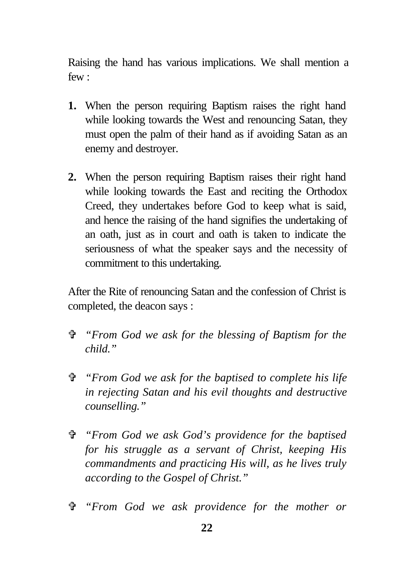Raising the hand has various implications. We shall mention a few :

- **1.** When the person requiring Baptism raises the right hand while looking towards the West and renouncing Satan, they must open the palm of their hand as if avoiding Satan as an enemy and destroyer.
- **2.** When the person requiring Baptism raises their right hand while looking towards the East and reciting the Orthodox Creed, they undertakes before God to keep what is said, and hence the raising of the hand signifies the undertaking of an oath, just as in court and oath is taken to indicate the seriousness of what the speaker says and the necessity of commitment to this undertaking.

After the Rite of renouncing Satan and the confession of Christ is completed, the deacon says :

- V *"From God we ask for the blessing of Baptism for the child."*
- V *"From God we ask for the baptised to complete his life in rejecting Satan and his evil thoughts and destructive counselling."*
- V *"From God we ask God's providence for the baptised for his struggle as a servant of Christ, keeping His commandments and practicing His will, as he lives truly according to the Gospel of Christ."*
- V *"From God we ask providence for the mother or*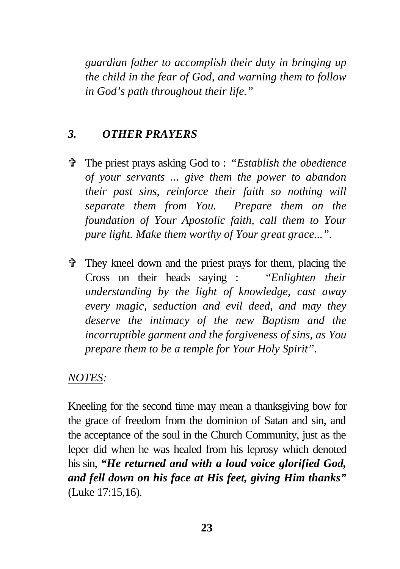*guardian father to accomplish their duty in bringing up the child in the fear of God, and warning them to follow in God's path throughout their life."*

#### *3. OTHER PRAYERS*

- V The priest prays asking God to : *"Establish the obedience of your servants ... give them the power to abandon their past sins, reinforce their faith so nothing will separate them from You. Prepare them on the foundation of Your Apostolic faith, call them to Your pure light. Make them worthy of Your great grace...".*
- $\hat{\mathbf{\Phi}}$  They kneel down and the priest prays for them, placing the Cross on their heads saying : *"Enlighten their understanding by the light of knowledge, cast away every magic, seduction and evil deed, and may they deserve the intimacy of the new Baptism and the incorruptible garment and the forgiveness of sins, as You prepare them to be a temple for Your Holy Spirit".*

#### *NOTES:*

Kneeling for the second time may mean a thanksgiving bow for the grace of freedom from the dominion of Satan and sin, and the acceptance of the soul in the Church Community, just as the leper did when he was healed from his leprosy which denoted his sin, *"He returned and with a loud voice glorified God, and fell down on his face at His feet, giving Him thanks"* (Luke 17:15,16)*.*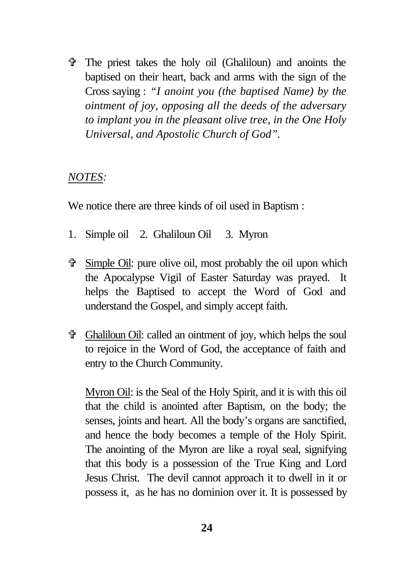V The priest takes the holy oil (Ghaliloun) and anoints the baptised on their heart, back and arms with the sign of the Cross saying : *"I anoint you (the baptised Name) by the ointment of joy, opposing all the deeds of the adversary to implant you in the pleasant olive tree, in the One Holy Universal, and Apostolic Church of God".*

#### *NOTES:*

We notice there are three kinds of oil used in Baptism :

- 1. Simple oil 2. Ghaliloun Oil 3. Myron
- V Simple Oil: pure olive oil, most probably the oil upon which the Apocalypse Vigil of Easter Saturday was prayed. It helps the Baptised to accept the Word of God and understand the Gospel, and simply accept faith.
- V Ghaliloun Oil: called an ointment of joy, which helps the soul to rejoice in the Word of God, the acceptance of faith and entry to the Church Community.

Myron Oil: is the Seal of the Holy Spirit, and it is with this oil that the child is anointed after Baptism, on the body; the senses, joints and heart. All the body's organs are sanctified, and hence the body becomes a temple of the Holy Spirit. The anointing of the Myron are like a royal seal, signifying that this body is a possession of the True King and Lord Jesus Christ. The devil cannot approach it to dwell in it or possess it, as he has no dominion over it. It is possessed by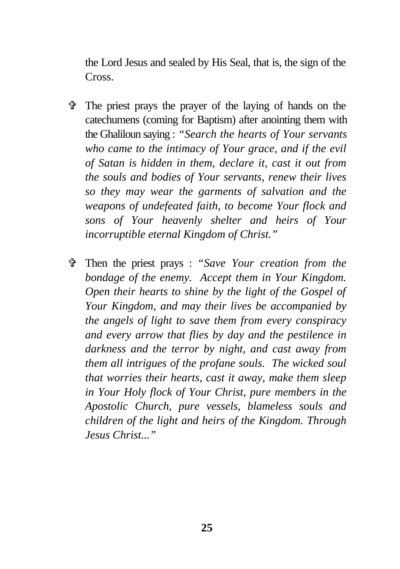the Lord Jesus and sealed by His Seal, that is, the sign of the Cross.

- $\hat{\mathbf{v}}$  The priest prays the prayer of the laying of hands on the catechumens (coming for Baptism) after anointing them with the Ghaliloun saying : *"Search the hearts of Your servants who came to the intimacy of Your grace, and if the evil of Satan is hidden in them, declare it, cast it out from the souls and bodies of Your servants, renew their lives so they may wear the garments of salvation and the weapons of undefeated faith, to become Your flock and sons of Your heavenly shelter and heirs of Your incorruptible eternal Kingdom of Christ."*
- V Then the priest prays : *"Save Your creation from the bondage of the enemy. Accept them in Your Kingdom. Open their hearts to shine by the light of the Gospel of Your Kingdom, and may their lives be accompanied by the angels of light to save them from every conspiracy and every arrow that flies by day and the pestilence in darkness and the terror by night, and cast away from them all intrigues of the profane souls. The wicked soul that worries their hearts, cast it away, make them sleep in Your Holy flock of Your Christ, pure members in the Apostolic Church, pure vessels, blameless souls and children of the light and heirs of the Kingdom. Through Jesus Christ..."*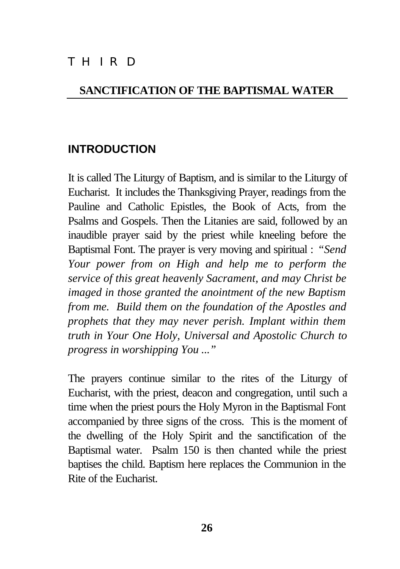# THIRD

#### **SANCTIFICATION OF THE BAPTISMAL WATER**

### **INTRODUCTION**

It is called The Liturgy of Baptism, and is similar to the Liturgy of Eucharist. It includes the Thanksgiving Prayer, readings from the Pauline and Catholic Epistles, the Book of Acts, from the Psalms and Gospels. Then the Litanies are said, followed by an inaudible prayer said by the priest while kneeling before the Baptismal Font. The prayer is very moving and spiritual : *"Send Your power from on High and help me to perform the service of this great heavenly Sacrament, and may Christ be imaged in those granted the anointment of the new Baptism from me. Build them on the foundation of the Apostles and prophets that they may never perish. Implant within them truth in Your One Holy, Universal and Apostolic Church to progress in worshipping You ..."*

The prayers continue similar to the rites of the Liturgy of Eucharist, with the priest, deacon and congregation, until such a time when the priest pours the Holy Myron in the Baptismal Font accompanied by three signs of the cross. This is the moment of the dwelling of the Holy Spirit and the sanctification of the Baptismal water. Psalm 150 is then chanted while the priest baptises the child. Baptism here replaces the Communion in the Rite of the Eucharist.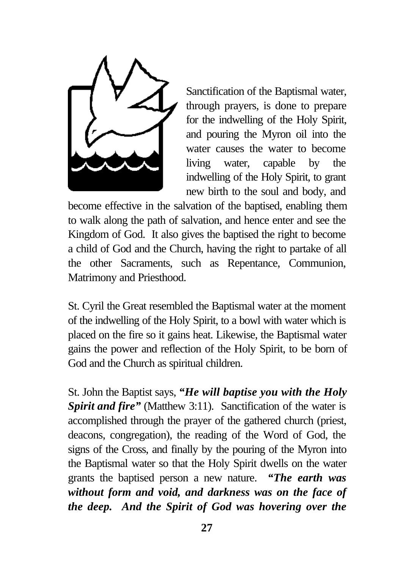

Sanctification of the Baptismal water, through prayers, is done to prepare for the indwelling of the Holy Spirit, and pouring the Myron oil into the water causes the water to become living water, capable by the indwelling of the Holy Spirit, to grant new birth to the soul and body, and

become effective in the salvation of the baptised, enabling them to walk along the path of salvation, and hence enter and see the Kingdom of God. It also gives the baptised the right to become a child of God and the Church, having the right to partake of all the other Sacraments, such as Repentance, Communion, Matrimony and Priesthood.

St. Cyril the Great resembled the Baptismal water at the moment of the indwelling of the Holy Spirit, to a bowl with water which is placed on the fire so it gains heat. Likewise, the Baptismal water gains the power and reflection of the Holy Spirit, to be born of God and the Church as spiritual children.

St. John the Baptist says, *"He will baptise you with the Holy* **Spirit and fire"** (Matthew 3:11). Sanctification of the water is accomplished through the prayer of the gathered church (priest, deacons, congregation), the reading of the Word of God, the signs of the Cross, and finally by the pouring of the Myron into the Baptismal water so that the Holy Spirit dwells on the water grants the baptised person a new nature. *"The earth was without form and void, and darkness was on the face of the deep. And the Spirit of God was hovering over the*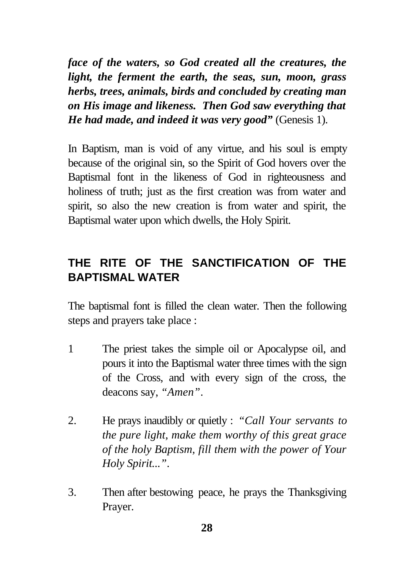*face of the waters, so God created all the creatures, the light, the ferment the earth, the seas, sun, moon, grass herbs, trees, animals, birds and concluded by creating man on His image and likeness. Then God saw everything that He had made, and indeed it was very good"* (Genesis 1).

In Baptism, man is void of any virtue, and his soul is empty because of the original sin, so the Spirit of God hovers over the Baptismal font in the likeness of God in righteousness and holiness of truth; just as the first creation was from water and spirit, so also the new creation is from water and spirit, the Baptismal water upon which dwells, the Holy Spirit.

# **THE RITE OF THE SANCTIFICATION OF THE BAPTISMAL WATER**

The baptismal font is filled the clean water. Then the following steps and prayers take place :

- 1 The priest takes the simple oil or Apocalypse oil, and pours it into the Baptismal water three times with the sign of the Cross, and with every sign of the cross, the deacons say, *"Amen"*.
- 2. He prays inaudibly or quietly : *"Call Your servants to the pure light, make them worthy of this great grace of the holy Baptism, fill them with the power of Your Holy Spirit..."*.
- 3. Then after bestowing peace, he prays the Thanksgiving Prayer.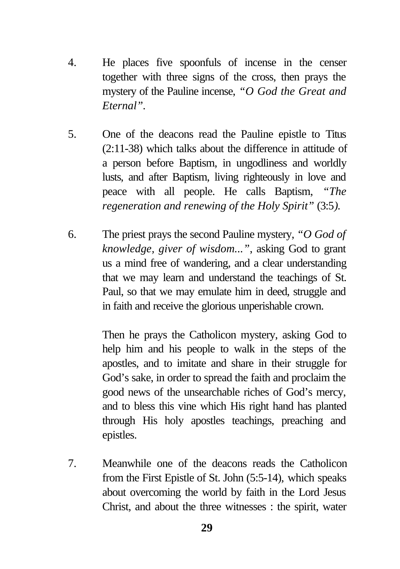- 4. He places five spoonfuls of incense in the censer together with three signs of the cross, then prays the mystery of the Pauline incense, *"O God the Great and Eternal".*
- 5. One of the deacons read the Pauline epistle to Titus (2:11-38) which talks about the difference in attitude of a person before Baptism, in ungodliness and worldly lusts, and after Baptism, living righteously in love and peace with all people. He calls Baptism, *"The regeneration and renewing of the Holy Spirit"* (3:5*).*
- 6. The priest prays the second Pauline mystery, *"O God of knowledge, giver of wisdom..."*, asking God to grant us a mind free of wandering, and a clear understanding that we may learn and understand the teachings of St. Paul, so that we may emulate him in deed, struggle and in faith and receive the glorious unperishable crown.

Then he prays the Catholicon mystery, asking God to help him and his people to walk in the steps of the apostles, and to imitate and share in their struggle for God's sake, in order to spread the faith and proclaim the good news of the unsearchable riches of God's mercy, and to bless this vine which His right hand has planted through His holy apostles teachings, preaching and epistles.

7. Meanwhile one of the deacons reads the Catholicon from the First Epistle of St. John (5:5-14)*,* which speaks about overcoming the world by faith in the Lord Jesus Christ, and about the three witnesses : the spirit, water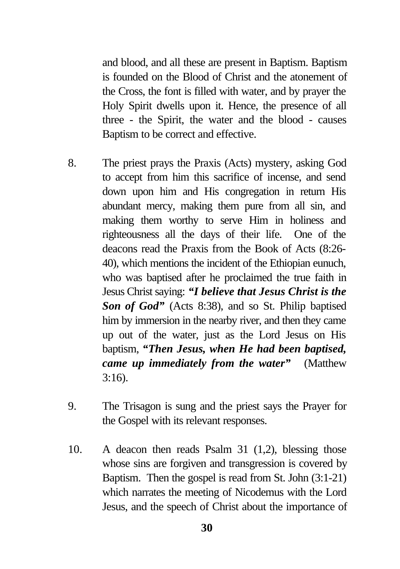and blood, and all these are present in Baptism. Baptism is founded on the Blood of Christ and the atonement of the Cross, the font is filled with water, and by prayer the Holy Spirit dwells upon it. Hence, the presence of all three - the Spirit, the water and the blood - causes Baptism to be correct and effective.

- 8. The priest prays the Praxis (Acts) mystery, asking God to accept from him this sacrifice of incense, and send down upon him and His congregation in return His abundant mercy, making them pure from all sin, and making them worthy to serve Him in holiness and righteousness all the days of their life. One of the deacons read the Praxis from the Book of Acts (8:26- 40), which mentions the incident of the Ethiopian eunuch, who was baptised after he proclaimed the true faith in Jesus Christ saying: *"I believe that Jesus Christ is the Son of God"* (Acts 8:38), and so St. Philip baptised him by immersion in the nearby river, and then they came up out of the water, just as the Lord Jesus on His baptism, *"Then Jesus, when He had been baptised, came up immediately from the water"* (Matthew 3:16).
- 9. The Trisagon is sung and the priest says the Prayer for the Gospel with its relevant responses.
- 10. A deacon then reads Psalm 31 (1,2), blessing those whose sins are forgiven and transgression is covered by Baptism. Then the gospel is read from St. John (3:1-21) which narrates the meeting of Nicodemus with the Lord Jesus, and the speech of Christ about the importance of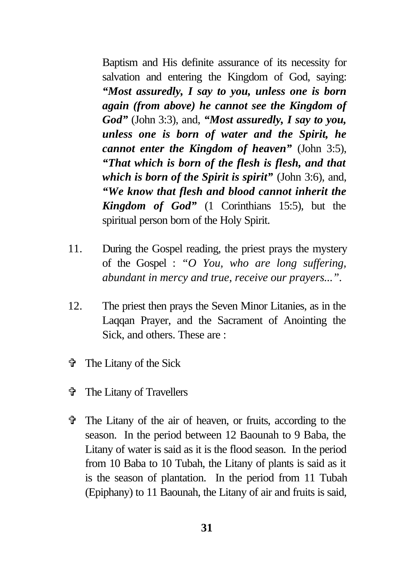Baptism and His definite assurance of its necessity for salvation and entering the Kingdom of God, saying: *"Most assuredly, I say to you, unless one is born again (from above) he cannot see the Kingdom of God"* (John 3:3), and, *"Most assuredly, I say to you, unless one is born of water and the Spirit, he cannot enter the Kingdom of heaven"* (John 3:5), *"That which is born of the flesh is flesh, and that which is born of the Spirit is spirit"* (John 3:6), and, *"We know that flesh and blood cannot inherit the Kingdom of God"* (1 Corinthians 15:5), but the spiritual person born of the Holy Spirit.

- 11. During the Gospel reading, the priest prays the mystery of the Gospel : *"O You, who are long suffering, abundant in mercy and true, receive our prayers...".*
- 12. The priest then prays the Seven Minor Litanies, as in the Laqqan Prayer, and the Sacrament of Anointing the Sick, and others. These are :
- V The Litany of the Sick
- V The Litany of Travellers
- $\hat{\mathbf{\Phi}}$  The Litany of the air of heaven, or fruits, according to the season. In the period between 12 Baounah to 9 Baba, the Litany of water is said as it is the flood season. In the period from 10 Baba to 10 Tubah, the Litany of plants is said as it is the season of plantation. In the period from 11 Tubah (Epiphany) to 11 Baounah, the Litany of air and fruits is said,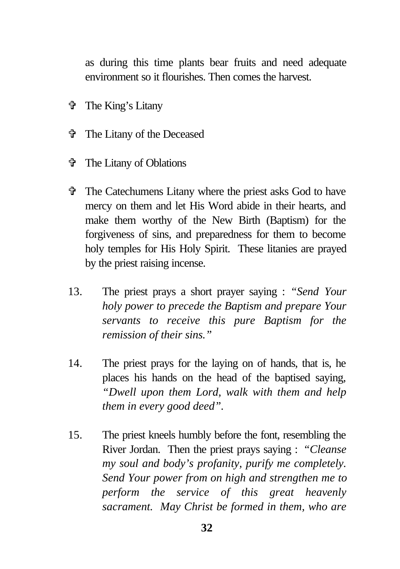as during this time plants bear fruits and need adequate environment so it flourishes. Then comes the harvest.

- V The King's Litany
- V The Litany of the Deceased
- V The Litany of Oblations
- V The Catechumens Litany where the priest asks God to have mercy on them and let His Word abide in their hearts, and make them worthy of the New Birth (Baptism) for the forgiveness of sins, and preparedness for them to become holy temples for His Holy Spirit. These litanies are prayed by the priest raising incense.
- 13. The priest prays a short prayer saying : *"Send Your holy power to precede the Baptism and prepare Your servants to receive this pure Baptism for the remission of their sins."*
- 14. The priest prays for the laying on of hands, that is, he places his hands on the head of the baptised saying, *"Dwell upon them Lord, walk with them and help them in every good deed".*
- 15. The priest kneels humbly before the font, resembling the River Jordan. Then the priest prays saying : *"Cleanse my soul and body's profanity, purify me completely. Send Your power from on high and strengthen me to perform the service of this great heavenly sacrament. May Christ be formed in them, who are*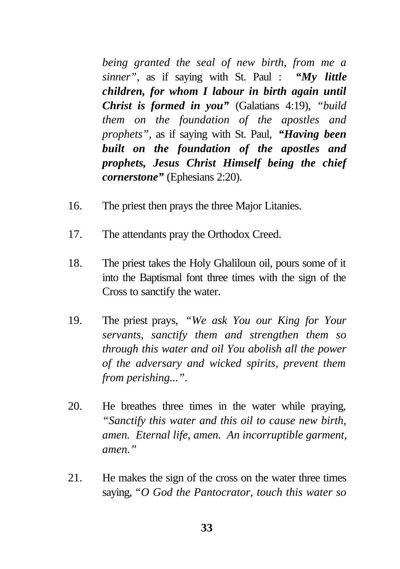*being granted the seal of new birth, from me a sinner"*, as if saying with St. Paul : *"My little children, for whom I labour in birth again until Christ is formed in you"* (Galatians 4:19), *"build them on the foundation of the apostles and prophets"*, as if saying with St. Paul, *"Having been built on the foundation of the apostles and prophets, Jesus Christ Himself being the chief cornerstone"* (Ephesians 2:20).

- 16. The priest then prays the three Major Litanies.
- 17. The attendants pray the Orthodox Creed.
- 18. The priest takes the Holy Ghaliloun oil, pours some of it into the Baptismal font three times with the sign of the Cross to sanctify the water.
- 19. The priest prays, *"We ask You our King for Your servants, sanctify them and strengthen them so through this water and oil You abolish all the power of the adversary and wicked spirits, prevent them from perishing..."*.
- 20. He breathes three times in the water while praying, *"Sanctify this water and this oil to cause new birth, amen. Eternal life, amen. An incorruptible garment, amen."*
- 21. He makes the sign of the cross on the water three times saying, *"O God the Pantocrator, touch this water so*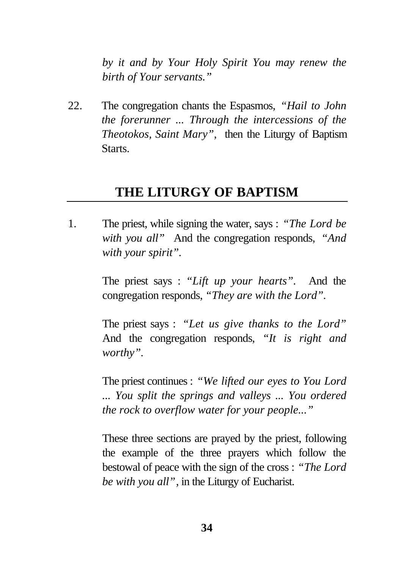*by it and by Your Holy Spirit You may renew the birth of Your servants."*

22. The congregation chants the Espasmos, *"Hail to John the forerunner ... Through the intercessions of the Theotokos, Saint Mary"*, then the Liturgy of Baptism Starts.

## **THE LITURGY OF BAPTISM**

1. The priest, while signing the water, says : *"The Lord be with you all"* And the congregation responds, *"And with your spirit".*

> The priest says : *"Lift up your hearts".* And the congregation responds, *"They are with the Lord".*

> The priest says : *"Let us give thanks to the Lord"* And the congregation responds, *"It is right and worthy".*

> The priest continues : *"We lifted our eyes to You Lord ... You split the springs and valleys ... You ordered the rock to overflow water for your people..."*

> These three sections are prayed by the priest, following the example of the three prayers which follow the bestowal of peace with the sign of the cross : *"The Lord be with you all"*, in the Liturgy of Eucharist.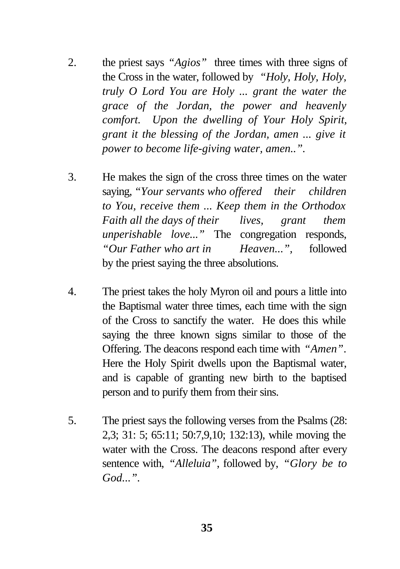- 2. the priest says *"Agios"* three times with three signs of the Cross in the water, followed by *"Holy, Holy, Holy, truly O Lord You are Holy ... grant the water the grace of the Jordan, the power and heavenly comfort. Upon the dwelling of Your Holy Spirit, grant it the blessing of the Jordan, amen ... give it power to become life-giving water, amen..".*
- 3. He makes the sign of the cross three times on the water saying, *"Your servants who offered their children to You, receive them ... Keep them in the Orthodox Faith all the days of their lives, grant them unperishable love..."* The congregation responds, *"Our Father who art in Heaven...",* followed by the priest saying the three absolutions.
- 4. The priest takes the holy Myron oil and pours a little into the Baptismal water three times, each time with the sign of the Cross to sanctify the water. He does this while saying the three known signs similar to those of the Offering. The deacons respond each time with *"Amen"*. Here the Holy Spirit dwells upon the Baptismal water, and is capable of granting new birth to the baptised person and to purify them from their sins.
- 5. The priest says the following verses from the Psalms (28: 2,3; 31: 5; 65:11; 50:7,9,10; 132:13), while moving the water with the Cross. The deacons respond after every sentence with, *"Alleluia"*, followed by, *"Glory be to God...".*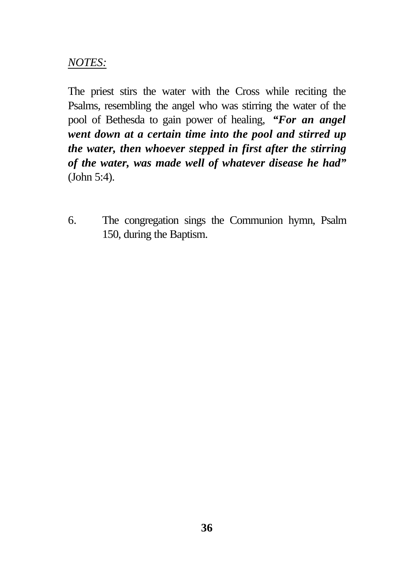### *NOTES:*

The priest stirs the water with the Cross while reciting the Psalms, resembling the angel who was stirring the water of the pool of Bethesda to gain power of healing, *"For an angel went down at a certain time into the pool and stirred up the water, then whoever stepped in first after the stirring of the water, was made well of whatever disease he had"* (John 5:4).

6. The congregation sings the Communion hymn, Psalm 150, during the Baptism.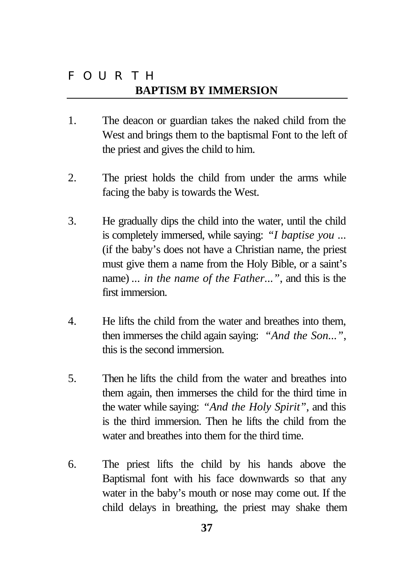# FOURTH **BAPTISM BY IMMERSION**

- 1. The deacon or guardian takes the naked child from the West and brings them to the baptismal Font to the left of the priest and gives the child to him.
- 2. The priest holds the child from under the arms while facing the baby is towards the West.
- 3. He gradually dips the child into the water, until the child is completely immersed, while saying: *"I baptise you ...* (if the baby's does not have a Christian name, the priest must give them a name from the Holy Bible, or a saint's name) *... in the name of the Father..."*, and this is the first immersion.
- 4. He lifts the child from the water and breathes into them, then immerses the child again saying: *"And the Son..."*, this is the second immersion.
- 5. Then he lifts the child from the water and breathes into them again, then immerses the child for the third time in the water while saying: *"And the Holy Spirit"*, and this is the third immersion. Then he lifts the child from the water and breathes into them for the third time.
- 6. The priest lifts the child by his hands above the Baptismal font with his face downwards so that any water in the baby's mouth or nose may come out. If the child delays in breathing, the priest may shake them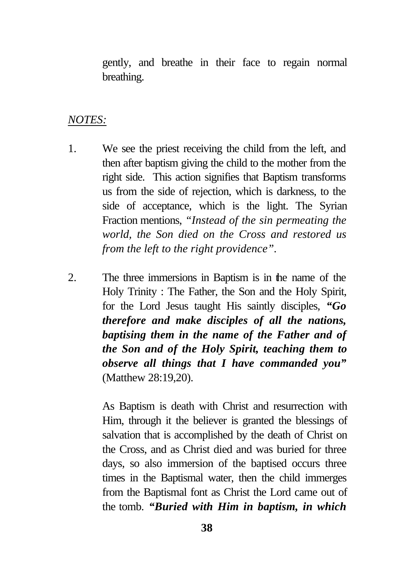gently, and breathe in their face to regain normal breathing.

#### *NOTES:*

- 1. We see the priest receiving the child from the left, and then after baptism giving the child to the mother from the right side. This action signifies that Baptism transforms us from the side of rejection, which is darkness, to the side of acceptance, which is the light. The Syrian Fraction mentions, *"Instead of the sin permeating the world, the Son died on the Cross and restored us from the left to the right providence".*
- 2. The three immersions in Baptism is in the name of the Holy Trinity : The Father, the Son and the Holy Spirit, for the Lord Jesus taught His saintly disciples, *"Go therefore and make disciples of all the nations, baptising them in the name of the Father and of the Son and of the Holy Spirit, teaching them to observe all things that I have commanded you"* (Matthew 28:19,20).

As Baptism is death with Christ and resurrection with Him, through it the believer is granted the blessings of salvation that is accomplished by the death of Christ on the Cross, and as Christ died and was buried for three days, so also immersion of the baptised occurs three times in the Baptismal water, then the child immerges from the Baptismal font as Christ the Lord came out of the tomb. *"Buried with Him in baptism, in which*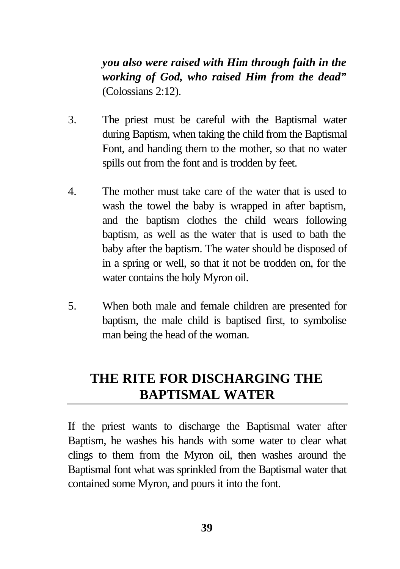*you also were raised with Him through faith in the working of God, who raised Him from the dead"* (Colossians 2:12).

- 3. The priest must be careful with the Baptismal water during Baptism, when taking the child from the Baptismal Font, and handing them to the mother, so that no water spills out from the font and is trodden by feet.
- 4. The mother must take care of the water that is used to wash the towel the baby is wrapped in after baptism, and the baptism clothes the child wears following baptism, as well as the water that is used to bath the baby after the baptism. The water should be disposed of in a spring or well, so that it not be trodden on, for the water contains the holy Myron oil.
- 5. When both male and female children are presented for baptism, the male child is baptised first, to symbolise man being the head of the woman.

# **THE RITE FOR DISCHARGING THE BAPTISMAL WATER**

If the priest wants to discharge the Baptismal water after Baptism, he washes his hands with some water to clear what clings to them from the Myron oil, then washes around the Baptismal font what was sprinkled from the Baptismal water that contained some Myron, and pours it into the font.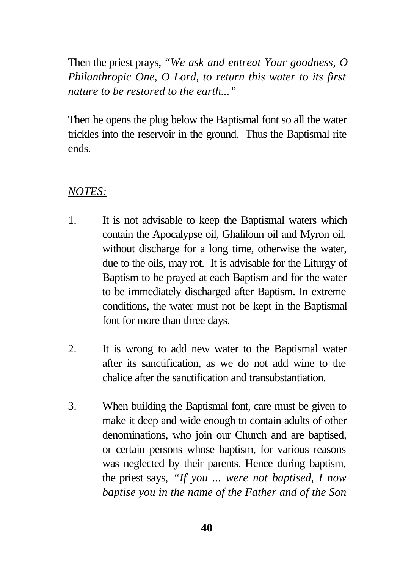Then the priest prays, *"We ask and entreat Your goodness, O Philanthropic One, O Lord, to return this water to its first nature to be restored to the earth..."*

Then he opens the plug below the Baptismal font so all the water trickles into the reservoir in the ground. Thus the Baptismal rite ends.

### *NOTES:*

- 1. It is not advisable to keep the Baptismal waters which contain the Apocalypse oil, Ghaliloun oil and Myron oil, without discharge for a long time, otherwise the water, due to the oils, may rot. It is advisable for the Liturgy of Baptism to be prayed at each Baptism and for the water to be immediately discharged after Baptism. In extreme conditions, the water must not be kept in the Baptismal font for more than three days.
- 2. It is wrong to add new water to the Baptismal water after its sanctification, as we do not add wine to the chalice after the sanctification and transubstantiation.
- 3. When building the Baptismal font, care must be given to make it deep and wide enough to contain adults of other denominations, who join our Church and are baptised, or certain persons whose baptism, for various reasons was neglected by their parents. Hence during baptism, the priest says, *"If you ... were not baptised, I now baptise you in the name of the Father and of the Son*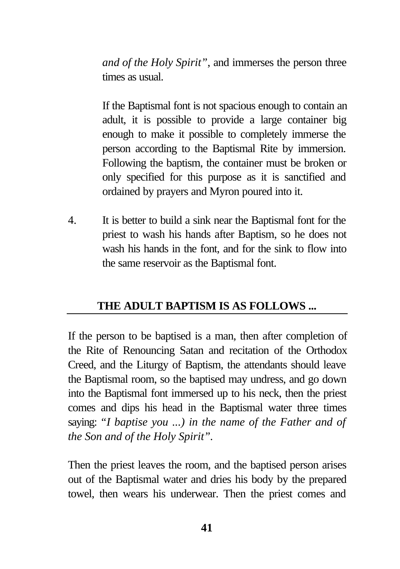*and of the Holy Spirit"*, and immerses the person three times as usual.

If the Baptismal font is not spacious enough to contain an adult, it is possible to provide a large container big enough to make it possible to completely immerse the person according to the Baptismal Rite by immersion. Following the baptism, the container must be broken or only specified for this purpose as it is sanctified and ordained by prayers and Myron poured into it.

4. It is better to build a sink near the Baptismal font for the priest to wash his hands after Baptism, so he does not wash his hands in the font, and for the sink to flow into the same reservoir as the Baptismal font.

### **THE ADULT BAPTISM IS AS FOLLOWS ...**

If the person to be baptised is a man, then after completion of the Rite of Renouncing Satan and recitation of the Orthodox Creed, and the Liturgy of Baptism, the attendants should leave the Baptismal room, so the baptised may undress, and go down into the Baptismal font immersed up to his neck, then the priest comes and dips his head in the Baptismal water three times saying: *"I baptise you ...) in the name of the Father and of the Son and of the Holy Spirit".*

Then the priest leaves the room, and the baptised person arises out of the Baptismal water and dries his body by the prepared towel, then wears his underwear. Then the priest comes and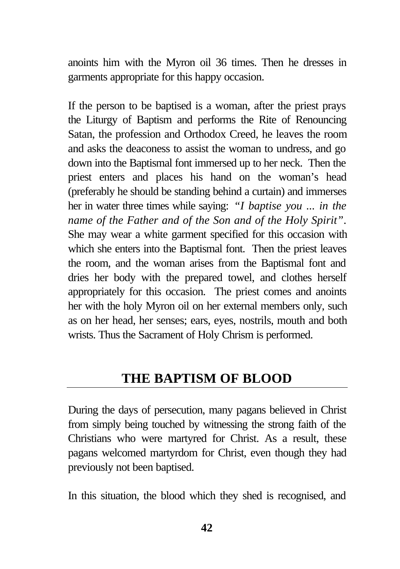anoints him with the Myron oil 36 times. Then he dresses in garments appropriate for this happy occasion.

If the person to be baptised is a woman, after the priest prays the Liturgy of Baptism and performs the Rite of Renouncing Satan, the profession and Orthodox Creed, he leaves the room and asks the deaconess to assist the woman to undress, and go down into the Baptismal font immersed up to her neck. Then the priest enters and places his hand on the woman's head (preferably he should be standing behind a curtain) and immerses her in water three times while saying: *"I baptise you ... in the name of the Father and of the Son and of the Holy Spirit"*. She may wear a white garment specified for this occasion with which she enters into the Baptismal font. Then the priest leaves the room, and the woman arises from the Baptismal font and dries her body with the prepared towel, and clothes herself appropriately for this occasion. The priest comes and anoints her with the holy Myron oil on her external members only, such as on her head, her senses; ears, eyes, nostrils, mouth and both wrists. Thus the Sacrament of Holy Chrism is performed.

# **THE BAPTISM OF BLOOD**

During the days of persecution, many pagans believed in Christ from simply being touched by witnessing the strong faith of the Christians who were martyred for Christ. As a result, these pagans welcomed martyrdom for Christ, even though they had previously not been baptised.

In this situation, the blood which they shed is recognised, and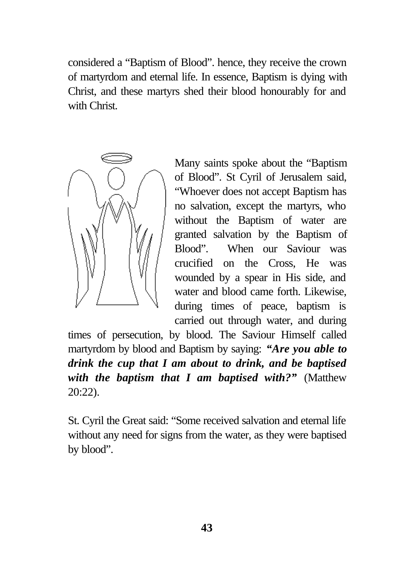considered a "Baptism of Blood". hence, they receive the crown of martyrdom and eternal life. In essence, Baptism is dying with Christ, and these martyrs shed their blood honourably for and with Christ.



Many saints spoke about the "Baptism of Blood". St Cyril of Jerusalem said, "Whoever does not accept Baptism has no salvation, except the martyrs, who without the Baptism of water are granted salvation by the Baptism of Blood". When our Saviour was crucified on the Cross, He was wounded by a spear in His side, and water and blood came forth. Likewise, during times of peace, baptism is carried out through water, and during

times of persecution, by blood. The Saviour Himself called martyrdom by blood and Baptism by saying: *"Are you able to drink the cup that I am about to drink, and be baptised with the baptism that I am baptised with?"* (Matthew 20:22).

St. Cyril the Great said: "Some received salvation and eternal life without any need for signs from the water, as they were baptised by blood".